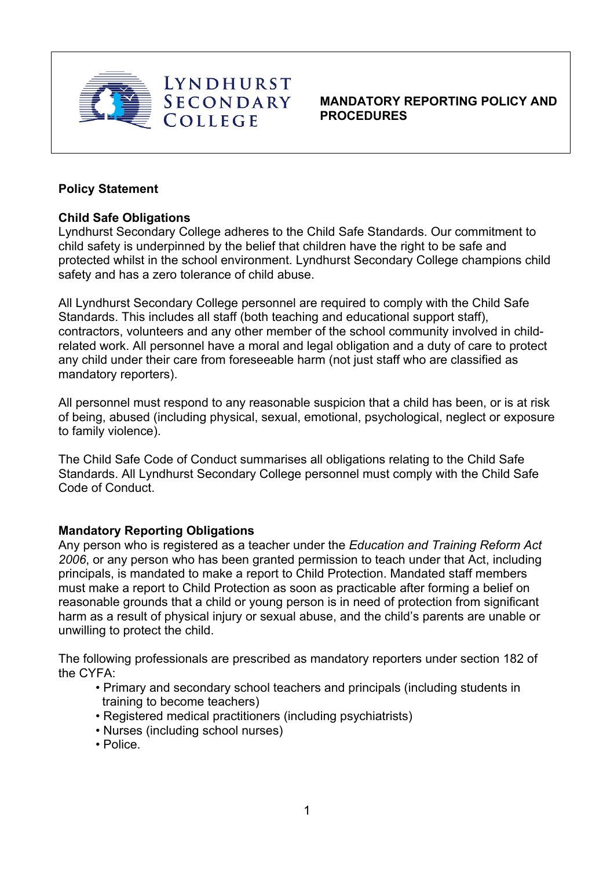

**MANDATORY REPORTING POLICY AND PROCEDURES**

## **Policy Statement**

#### **Child Safe Obligations**

Lyndhurst Secondary College adheres to the Child Safe Standards. Our commitment to child safety is underpinned by the belief that children have the right to be safe and protected whilst in the school environment. Lyndhurst Secondary College champions child safety and has a zero tolerance of child abuse.

All Lyndhurst Secondary College personnel are required to comply with the Child Safe Standards. This includes all staff (both teaching and educational support staff), contractors, volunteers and any other member of the school community involved in childrelated work. All personnel have a moral and legal obligation and a duty of care to protect any child under their care from foreseeable harm (not just staff who are classified as mandatory reporters).

All personnel must respond to any reasonable suspicion that a child has been, or is at risk of being, abused (including physical, sexual, emotional, psychological, neglect or exposure to family violence).

The Child Safe Code of Conduct summarises all obligations relating to the Child Safe Standards. All Lyndhurst Secondary College personnel must comply with the Child Safe Code of Conduct.

#### **Mandatory Reporting Obligations**

Any person who is registered as a teacher under the *Education and Training Reform Act 2006*, or any person who has been granted permission to teach under that Act, including principals, is mandated to make a report to Child Protection. Mandated staff members must make a report to Child Protection as soon as practicable after forming a belief on reasonable grounds that a child or young person is in need of protection from significant harm as a result of physical injury or sexual abuse, and the child's parents are unable or unwilling to protect the child.

The following professionals are prescribed as mandatory reporters under section 182 of the CYFA:

- Primary and secondary school teachers and principals (including students in training to become teachers)
- Registered medical practitioners (including psychiatrists)
- Nurses (including school nurses)
- Police.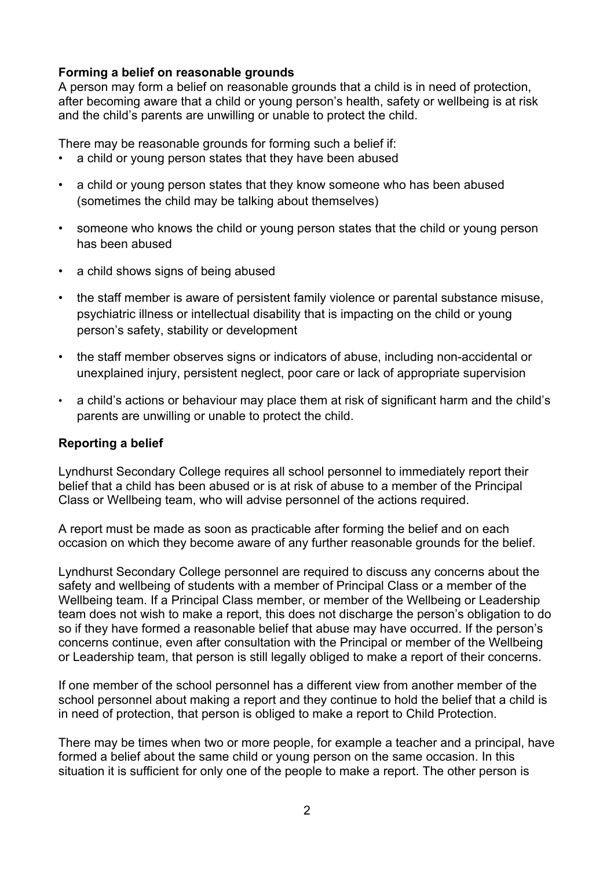# **Forming a belief on reasonable grounds**

A person may form a belief on reasonable grounds that a child is in need of protection, after becoming aware that a child or young person's health, safety or wellbeing is at risk and the child's parents are unwilling or unable to protect the child.

There may be reasonable grounds for forming such a belief if:

- a child or young person states that they have been abused
- a child or young person states that they know someone who has been abused (sometimes the child may be talking about themselves)
- someone who knows the child or young person states that the child or young person has been abused
- a child shows signs of being abused
- the staff member is aware of persistent family violence or parental substance misuse, psychiatric illness or intellectual disability that is impacting on the child or young person's safety, stability or development
- the staff member observes signs or indicators of abuse, including non-accidental or unexplained injury, persistent neglect, poor care or lack of appropriate supervision
- a child's actions or behaviour may place them at risk of significant harm and the child's parents are unwilling or unable to protect the child.

# **Reporting a belief**

Lyndhurst Secondary College requires all school personnel to immediately report their belief that a child has been abused or is at risk of abuse to a member of the Principal Class or Wellbeing team, who will advise personnel of the actions required.

A report must be made as soon as practicable after forming the belief and on each occasion on which they become aware of any further reasonable grounds for the belief.

Lyndhurst Secondary College personnel are required to discuss any concerns about the safety and wellbeing of students with a member of Principal Class or a member of the Wellbeing team. If a Principal Class member, or member of the Wellbeing or Leadership team does not wish to make a report, this does not discharge the person's obligation to do so if they have formed a reasonable belief that abuse may have occurred. If the person's concerns continue, even after consultation with the Principal or member of the Wellbeing or Leadership team, that person is still legally obliged to make a report of their concerns.

If one member of the school personnel has a different view from another member of the school personnel about making a report and they continue to hold the belief that a child is in need of protection, that person is obliged to make a report to Child Protection.

There may be times when two or more people, for example a teacher and a principal, have formed a belief about the same child or young person on the same occasion. In this situation it is sufficient for only one of the people to make a report. The other person is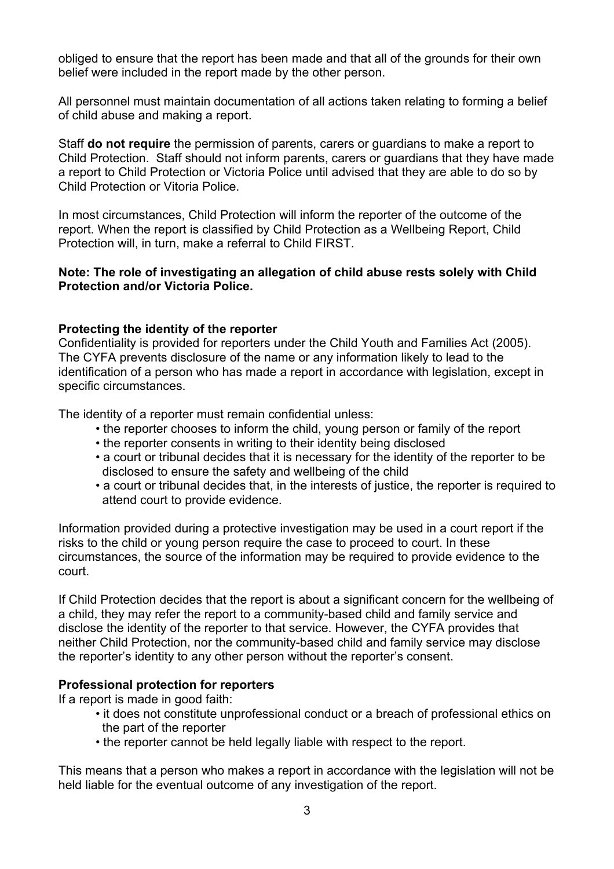obliged to ensure that the report has been made and that all of the grounds for their own belief were included in the report made by the other person.

All personnel must maintain documentation of all actions taken relating to forming a belief of child abuse and making a report.

Staff **do not require** the permission of parents, carers or guardians to make a report to Child Protection. Staff should not inform parents, carers or guardians that they have made a report to Child Protection or Victoria Police until advised that they are able to do so by Child Protection or Vitoria Police.

In most circumstances, Child Protection will inform the reporter of the outcome of the report. When the report is classified by Child Protection as a Wellbeing Report, Child Protection will, in turn, make a referral to Child FIRST.

## **Note: The role of investigating an allegation of child abuse rests solely with Child Protection and/or Victoria Police.**

# **Protecting the identity of the reporter**

Confidentiality is provided for reporters under the Child Youth and Families Act (2005). The CYFA prevents disclosure of the name or any information likely to lead to the identification of a person who has made a report in accordance with legislation, except in specific circumstances.

The identity of a reporter must remain confidential unless:

- the reporter chooses to inform the child, young person or family of the report
- the reporter consents in writing to their identity being disclosed
- a court or tribunal decides that it is necessary for the identity of the reporter to be disclosed to ensure the safety and wellbeing of the child
- a court or tribunal decides that, in the interests of justice, the reporter is required to attend court to provide evidence.

Information provided during a protective investigation may be used in a court report if the risks to the child or young person require the case to proceed to court. In these circumstances, the source of the information may be required to provide evidence to the court.

If Child Protection decides that the report is about a significant concern for the wellbeing of a child, they may refer the report to a community-based child and family service and disclose the identity of the reporter to that service. However, the CYFA provides that neither Child Protection, nor the community-based child and family service may disclose the reporter's identity to any other person without the reporter's consent.

## **Professional protection for reporters**

If a report is made in good faith:

- it does not constitute unprofessional conduct or a breach of professional ethics on the part of the reporter
- the reporter cannot be held legally liable with respect to the report.

This means that a person who makes a report in accordance with the legislation will not be held liable for the eventual outcome of any investigation of the report.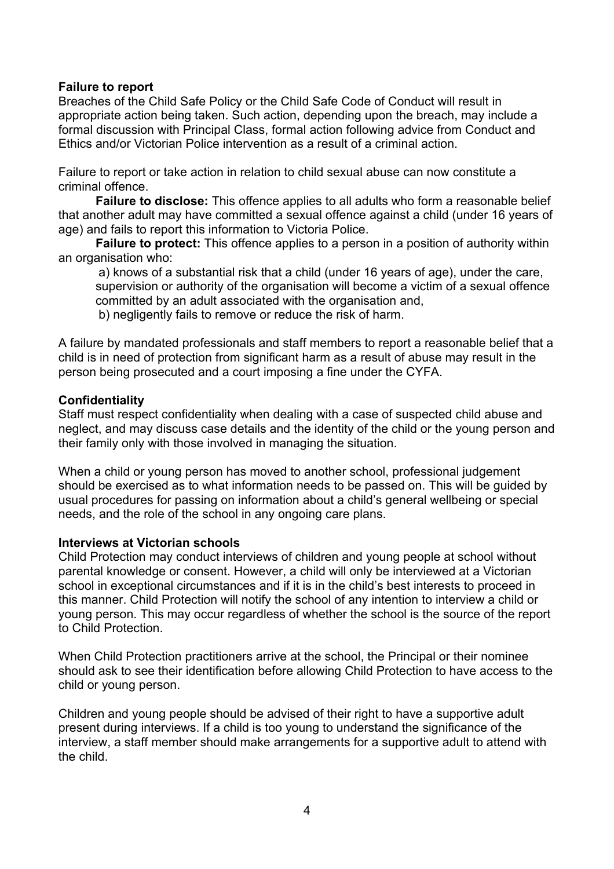## **Failure to report**

Breaches of the Child Safe Policy or the Child Safe Code of Conduct will result in appropriate action being taken. Such action, depending upon the breach, may include a formal discussion with Principal Class, formal action following advice from Conduct and Ethics and/or Victorian Police intervention as a result of a criminal action.

Failure to report or take action in relation to child sexual abuse can now constitute a criminal offence.

**Failure to disclose:** This offence applies to all adults who form a reasonable belief that another adult may have committed a sexual offence against a child (under 16 years of age) and fails to report this information to Victoria Police.

**Failure to protect:** This offence applies to a person in a position of authority within an organisation who:

a) knows of a substantial risk that a child (under 16 years of age), under the care, supervision or authority of the organisation will become a victim of a sexual offence committed by an adult associated with the organisation and,

b) negligently fails to remove or reduce the risk of harm.

A failure by mandated professionals and staff members to report a reasonable belief that a child is in need of protection from significant harm as a result of abuse may result in the person being prosecuted and a court imposing a fine under the CYFA.

## **Confidentiality**

Staff must respect confidentiality when dealing with a case of suspected child abuse and neglect, and may discuss case details and the identity of the child or the young person and their family only with those involved in managing the situation.

When a child or young person has moved to another school, professional judgement should be exercised as to what information needs to be passed on. This will be guided by usual procedures for passing on information about a child's general wellbeing or special needs, and the role of the school in any ongoing care plans.

## **Interviews at Victorian schools**

Child Protection may conduct interviews of children and young people at school without parental knowledge or consent. However, a child will only be interviewed at a Victorian school in exceptional circumstances and if it is in the child's best interests to proceed in this manner. Child Protection will notify the school of any intention to interview a child or young person. This may occur regardless of whether the school is the source of the report to Child Protection.

When Child Protection practitioners arrive at the school, the Principal or their nominee should ask to see their identification before allowing Child Protection to have access to the child or young person.

Children and young people should be advised of their right to have a supportive adult present during interviews. If a child is too young to understand the significance of the interview, a staff member should make arrangements for a supportive adult to attend with the child.